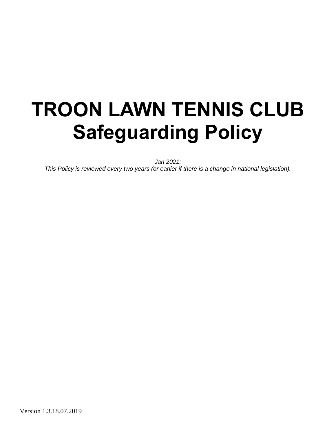# **TROON LAWN TENNIS CLUB Safeguarding Policy**

*Jan 2021:*

*This Policy is reviewed every two years (or earlier if there is a change in national legislation).*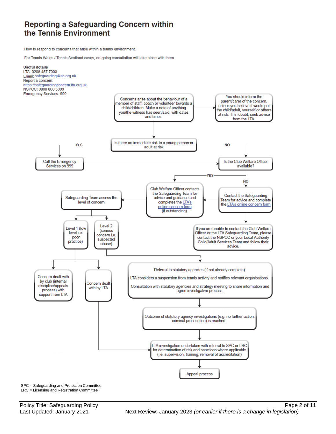### Reporting a Safeguarding Concern within the Tennis Environment

How to respond to concerns that arise within a tennis environment.

For Tennis Wales / Tennis Scotland cases, on-going consultation will take place with them.



SPC = Safeguarding and Protection Committee LRC = Licensing and Registration Committee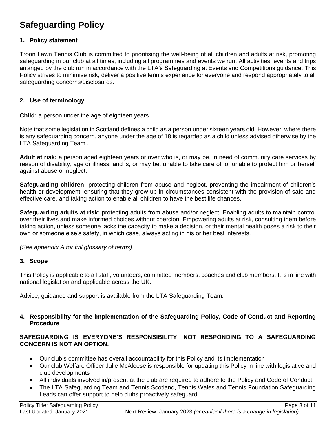# **Safeguarding Policy**

#### **1. Policy statement**

Troon Lawn Tennis Club is committed to prioritising the well-being of all children and adults at risk, promoting safeguarding in our club at all times, including all programmes and events we run. All activities, events and trips arranged by the club run in accordance with the LTA's Safeguarding at Events and Competitions guidance. This Policy strives to minimise risk, deliver a positive tennis experience for everyone and respond appropriately to all safeguarding concerns/disclosures.

#### **2. Use of terminology**

**Child:** a person under the age of eighteen years.

Note that some legislation in Scotland defines a child as a person under sixteen years old. However, where there is any safeguarding concern, anyone under the age of 18 is regarded as a child unless advised otherwise by the LTA Safeguarding Team .

**Adult at risk:** a person aged eighteen years or over who is, or may be, in need of community care services by reason of disability, age or illness; and is, or may be, unable to take care of, or unable to protect him or herself against abuse or neglect.

**Safeguarding children:** protecting children from abuse and neglect, preventing the impairment of children's health or development, ensuring that they grow up in circumstances consistent with the provision of safe and effective care, and taking action to enable all children to have the best life chances.

**Safeguarding adults at risk:** protecting adults from abuse and/or neglect. Enabling adults to maintain control over their lives and make informed choices without coercion. Empowering adults at risk, consulting them before taking action, unless someone lacks the capacity to make a decision, or their mental health poses a risk to their own or someone else's safety, in which case, always acting in his or her best interests.

*(See appendix A for full glossary of terms)*.

#### **3. Scope**

This Policy is applicable to all staff, volunteers, committee members, coaches and club members. It is in line with national legislation and applicable across the UK.

Advice, guidance and support is available from the LTA Safeguarding Team.

#### **4. Responsibility for the implementation of the Safeguarding Policy, Code of Conduct and Reporting Procedure**

#### **SAFEGUARDING IS EVERYONE'S RESPONSIBILITY: NOT RESPONDING TO A SAFEGUARDING CONCERN IS NOT AN OPTION.**

- Our club's committee has overall accountability for this Policy and its implementation
- Our club Welfare Officer Julie McAleese is responsible for updating this Policy in line with legislative and club developments
- All individuals involved in/present at the club are required to adhere to the Policy and Code of Conduct
- The LTA Safeguarding Team and Tennis Scotland, Tennis Wales and Tennis Foundation Safeguarding Leads can offer support to help clubs proactively safeguard.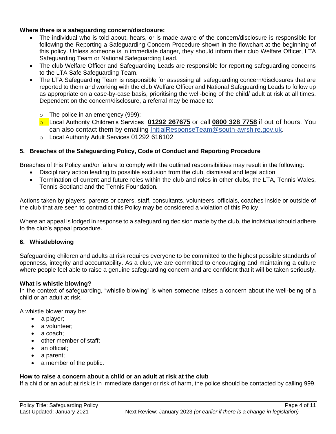#### **Where there is a safeguarding concern/disclosure:**

- The individual who is told about, hears, or is made aware of the concern/disclosure is responsible for following the Reporting a Safeguarding Concern Procedure shown in the flowchart at the beginning of this policy. Unless someone is in immediate danger, they should inform their club Welfare Officer, LTA Safeguarding Team or National Safeguarding Lead.
- The club Welfare Officer and Safeguarding Leads are responsible for reporting safeguarding concerns to the LTA Safe Safeguarding Team.
- The LTA Safeguarding Team is responsible for assessing all safeguarding concern/disclosures that are reported to them and working with the club Welfare Officer and National Safeguarding Leads to follow up as appropriate on a case-by-case basis, prioritising the well-being of the child/ adult at risk at all times. Dependent on the concern/disclosure, a referral may be made to:
	- o The police in an emergency (999);
	- o Local Authority Children's Services **[01292 267675](tel:01292267675)** or call **[0800 328 7758](tel:08003287758)** if out of hours. You can also contact them by emailing [InitialResponseTeam@south-ayrshire.gov.uk.](mailto:InitialResponseTeam@south-ayrshire.gov.uk)
	- o Local Authority Adult Services 01292 616102

#### **5. Breaches of the Safeguarding Policy, Code of Conduct and Reporting Procedure**

Breaches of this Policy and/or failure to comply with the outlined responsibilities may result in the following:

- Disciplinary action leading to possible exclusion from the club, dismissal and legal action
- Termination of current and future roles within the club and roles in other clubs, the LTA, Tennis Wales, Tennis Scotland and the Tennis Foundation*.*

Actions taken by players, parents or carers, staff, consultants, volunteers, officials, coaches inside or outside of the club that are seen to contradict this Policy may be considered a violation of this Policy.

Where an appeal is lodged in response to a safeguarding decision made by the club, the individual should adhere to the club's appeal procedure.

#### **6. Whistleblowing**

Safeguarding children and adults at risk requires everyone to be committed to the highest possible standards of openness, integrity and accountability. As a club, we are committed to encouraging and maintaining a culture where people feel able to raise a genuine safeguarding concern and are confident that it will be taken seriously.

#### **What is whistle blowing?**

In the context of safeguarding, "whistle blowing" is when someone raises a concern about the well-being of a child or an adult at risk.

A whistle blower may be:

- a player;
- a volunteer;
- a coach:
- other member of staff;
- an official:
- a parent;
- a member of the public.

#### **How to raise a concern about a child or an adult at risk at the club**

If a child or an adult at risk is in immediate danger or risk of harm, the police should be contacted by calling 999.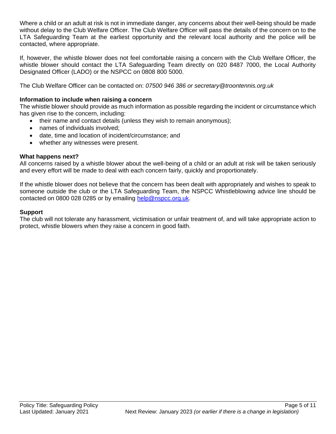Where a child or an adult at risk is not in immediate danger, any concerns about their well-being should be made without delay to the Club Welfare Officer. The Club Welfare Officer will pass the details of the concern on to the LTA Safeguarding Team at the earliest opportunity and the relevant local authority and the police will be contacted, where appropriate.

If, however, the whistle blower does not feel comfortable raising a concern with the Club Welfare Officer, the whistle blower should contact the LTA Safeguarding Team directly on 020 8487 7000, the Local Authority Designated Officer (LADO) or the NSPCC on 0808 800 5000.

The Club Welfare Officer can be contacted on: *07500 946 386 or secretary@troontennis.org.uk*

#### **Information to include when raising a concern**

The whistle blower should provide as much information as possible regarding the incident or circumstance which has given rise to the concern, including:

- their name and contact details (unless they wish to remain anonymous);
- names of individuals involved;
- date, time and location of incident/circumstance; and
- whether any witnesses were present.

#### **What happens next?**

All concerns raised by a whistle blower about the well-being of a child or an adult at risk will be taken seriously and every effort will be made to deal with each concern fairly, quickly and proportionately.

If the whistle blower does not believe that the concern has been dealt with appropriately and wishes to speak to someone outside the club or the LTA Safeguarding Team, the NSPCC Whistleblowing advice line should be contacted on 0800 028 0285 or by emailing [help@nspcc.org.uk.](mailto:help@nspcc.org.uk)

#### **Support**

The club will not tolerate any harassment, victimisation or unfair treatment of, and will take appropriate action to protect, whistle blowers when they raise a concern in good faith.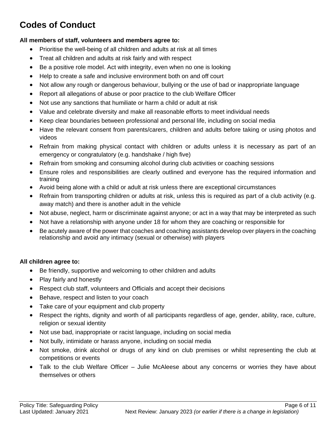# **Codes of Conduct**

#### **All members of staff, volunteers and members agree to:**

- Prioritise the well-being of all children and adults at risk at all times
- Treat all children and adults at risk fairly and with respect
- Be a positive role model. Act with integrity, even when no one is looking
- Help to create a safe and inclusive environment both on and off court
- Not allow any rough or dangerous behaviour, bullying or the use of bad or inappropriate language
- Report all allegations of abuse or poor practice to the club Welfare Officer
- Not use any sanctions that humiliate or harm a child or adult at risk
- Value and celebrate diversity and make all reasonable efforts to meet individual needs
- Keep clear boundaries between professional and personal life, including on social media
- Have the relevant consent from parents/carers, children and adults before taking or using photos and videos
- Refrain from making physical contact with children or adults unless it is necessary as part of an emergency or congratulatory (e.g. handshake / high five)
- Refrain from smoking and consuming alcohol during club activities or coaching sessions
- Ensure roles and responsibilities are clearly outlined and everyone has the required information and training
- Avoid being alone with a child or adult at risk unless there are exceptional circumstances
- Refrain from transporting children or adults at risk, unless this is required as part of a club activity (e.g. away match) and there is another adult in the vehicle
- Not abuse, neglect, harm or discriminate against anyone; or act in a way that may be interpreted as such
- Not have a relationship with anyone under 18 for whom they are coaching or responsible for
- Be acutely aware of the power that coaches and coaching assistants develop over players in the coaching relationship and avoid any intimacy (sexual or otherwise) with players

#### **All children agree to:**

- Be friendly, supportive and welcoming to other children and adults
- Play fairly and honestly
- Respect club staff, volunteers and Officials and accept their decisions
- Behave, respect and listen to your coach
- Take care of your equipment and club property
- Respect the rights, dignity and worth of all participants regardless of age, gender, ability, race, culture, religion or sexual identity
- Not use bad, inappropriate or racist language, including on social media
- Not bully, intimidate or harass anyone, including on social media
- Not smoke, drink alcohol or drugs of any kind on club premises or whilst representing the club at competitions or events
- Talk to the club Welfare Officer Julie McAleese about any concerns or worries they have about themselves or others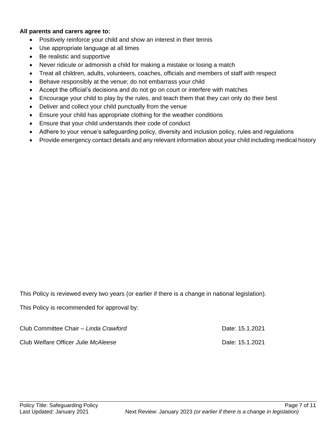#### **All parents and carers agree to:**

- Positively reinforce your child and show an interest in their tennis
- Use appropriate language at all times
- Be realistic and supportive
- Never ridicule or admonish a child for making a mistake or losing a match
- Treat all children, adults, volunteers, coaches, officials and members of staff with respect
- Behave responsibly at the venue; do not embarrass your child
- Accept the official's decisions and do not go on court or interfere with matches
- Encourage your child to play by the rules, and teach them that they can only do their best
- Deliver and collect your child punctually from the venue
- Ensure your child has appropriate clothing for the weather conditions
- Ensure that your child understands their code of conduct
- Adhere to your venue's safeguarding policy, diversity and inclusion policy, rules and regulations
- Provide emergency contact details and any relevant information about your child including medical history

This Policy is reviewed every two years (or earlier if there is a change in national legislation).

This Policy is recommended for approval by:

Club Committee Chair *– Linda Crawford* Date: 15.1.2021

Club Welfare Officer *Julie McAleese* Date: 15.1.2021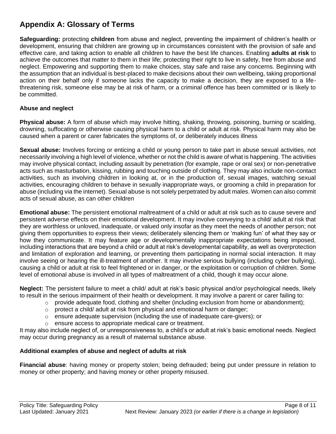## **Appendix A: Glossary of Terms**

**Safeguarding:** protecting **children** from abuse and neglect, preventing the impairment of children's health or development, ensuring that children are growing up in circumstances consistent with the provision of safe and effective care, and taking action to enable all children to have the best life chances. Enabling **adults at risk** to achieve the outcomes that matter to them in their life; protecting their right to live in safety, free from abuse and neglect. Empowering and supporting them to make choices, stay safe and raise any concerns. Beginning with the assumption that an individual is best-placed to make decisions about their own wellbeing, taking proportional action on their behalf only if someone lacks the capacity to make a decision, they are exposed to a lifethreatening risk, someone else may be at risk of harm, or a criminal offence has been committed or is likely to be committed.

#### **Abuse and neglect**

**Physical abuse:** A form of abuse which may involve hitting, shaking, throwing, poisoning, burning or scalding, drowning, suffocating or otherwise causing physical harm to a child or adult at risk. Physical harm may also be caused when a parent or carer fabricates the symptoms of, or deliberately induces illness

**Sexual abuse:** Involves forcing or enticing a child or young person to take part in abuse sexual activities, not necessarily involving a high level of violence, whether or not the child is aware of what is happening. The activities may involve physical contact, including assault by penetration (for example, rape or oral sex) or non-penetrative acts such as masturbation, kissing, rubbing and touching outside of clothing. They may also include non-contact activities, such as involving children in looking at, or in the production of, sexual images, watching sexual activities, encouraging children to behave in sexually inappropriate ways, or grooming a child in preparation for abuse (including via the internet). Sexual abuse is not solely perpetrated by adult males. Women can also commit acts of sexual abuse, as can other children

**Emotional abuse:** The persistent emotional maltreatment of a child or adult at risk such as to cause severe and persistent adverse effects on their emotional development. It may involve conveying to a child/ adult at risk that they are worthless or unloved, inadequate, or valued only insofar as they meet the needs of another person; not giving them opportunities to express their views; deliberately silencing them or 'making fun' of what they say or how they communicate. It may feature age or developmentally inappropriate expectations being imposed, including interactions that are beyond a child or adult at risk's developmental capability, as well as overprotection and limitation of exploration and learning, or preventing them participating in normal social interaction. It may involve seeing or hearing the ill-treatment of another. It may involve serious bullying (including cyber bullying), causing a child or adult at risk to feel frightened or in danger, or the exploitation or corruption of children. Some level of emotional abuse is involved in all types of maltreatment of a child, though it may occur alone.

**Neglect:** The persistent failure to meet a child/ adult at risk's basic physical and/or psychological needs, likely to result in the serious impairment of their health or development. It may involve a parent or carer failing to:

- $\circ$  provide adequate food, clothing and shelter (including exclusion from home or abandonment);
- $\circ$  protect a child/ adult at risk from physical and emotional harm or danger;
- $\circ$  ensure adequate supervision (including the use of inadequate care-givers); or
- o ensure access to appropriate medical care or treatment.

It may also include neglect of, or unresponsiveness to, a child's or adult at risk's basic emotional needs. Neglect may occur during pregnancy as a result of maternal substance abuse.

#### **Additional examples of abuse and neglect of adults at risk**

**Financial abuse**: having money or property stolen; being defrauded; being put under pressure in relation to money or other property; and having money or other property misused.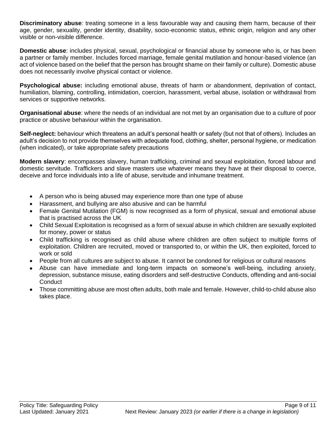**Discriminatory abuse**: treating someone in a less favourable way and causing them harm, because of their age, gender, sexuality, gender identity, disability, socio-economic status, ethnic origin, religion and any other visible or non-visible difference.

**Domestic abuse**: includes physical, sexual, psychological or financial abuse by someone who is, or has been a partner or family member. Includes forced marriage, female genital mutilation and honour-based violence (an act of violence based on the belief that the person has brought shame on their family or culture). Domestic abuse does not necessarily involve physical contact or violence.

**Psychological abuse:** including emotional abuse, threats of harm or abandonment, deprivation of contact, humiliation, blaming, controlling, intimidation, coercion, harassment, verbal abuse, isolation or withdrawal from services or supportive networks.

**Organisational abuse**: where the needs of an individual are not met by an organisation due to a culture of poor practice or abusive behaviour within the organisation.

**Self-neglect:** behaviour which threatens an adult's personal health or safety (but not that of others). Includes an adult's decision to not provide themselves with adequate food, clothing, shelter, personal hygiene, or medication (when indicated), or take appropriate safety precautions

**Modern slavery**: encompasses slavery, human trafficking, criminal and sexual exploitation, forced labour and domestic servitude. Traffickers and slave masters use whatever means they have at their disposal to coerce, deceive and force individuals into a life of abuse, servitude and inhumane treatment.

- A person who is being abused may experience more than one type of abuse
- Harassment, and bullying are also abusive and can be harmful
- Female Genital Mutilation (FGM) is now recognised as a form of physical, sexual and emotional abuse that is practised across the UK
- Child Sexual Exploitation is recognised as a form of sexual abuse in which children are sexually exploited for money, power or status
- Child trafficking is recognised as child abuse where children are often subject to multiple forms of exploitation. Children are recruited, moved or transported to, or within the UK, then exploited, forced to work or sold
- People from all cultures are subject to abuse. It cannot be condoned for religious or cultural reasons
- Abuse can have immediate and long-term impacts on someone's well-being, including anxiety, depression, substance misuse, eating disorders and self-destructive Conducts, offending and anti-social **Conduct**
- Those committing abuse are most often adults, both male and female. However, child-to-child abuse also takes place.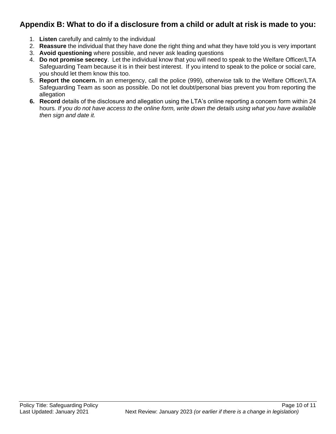## **Appendix B: What to do if a disclosure from a child or adult at risk is made to you:**

- 1. **Listen** carefully and calmly to the individual
- 2. **Reassure** the individual that they have done the right thing and what they have told you is very important
- 3. **Avoid questioning** where possible, and never ask leading questions
- 4. **Do not promise secrecy**. Let the individual know that you will need to speak to the Welfare Officer/LTA Safeguarding Team because it is in their best interest. If you intend to speak to the police or social care, you should let them know this too.
- 5. **Report the concern.** In an emergency, call the police (999), otherwise talk to the Welfare Officer/LTA Safeguarding Team as soon as possible. Do not let doubt/personal bias prevent you from reporting the allegation
- **6. Record** details of the disclosure and allegation using the LTA's online reporting a concern form within 24 hours*. If you do not have access to the online form, write down the details using what you have available then sign and date it.*